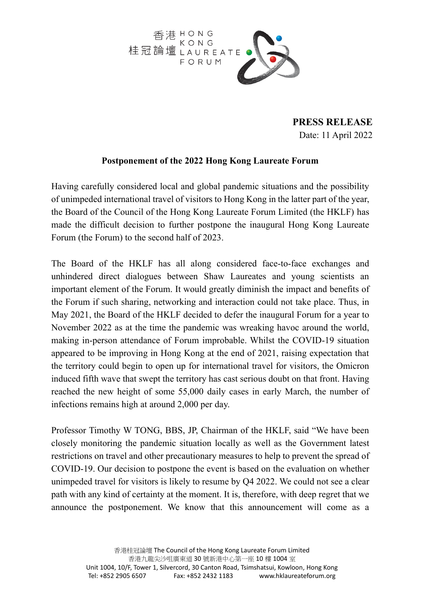

**PRESS RELEASE** Date: 11 April 2022

## **Postponement of the 2022 Hong Kong Laureate Forum**

Having carefully considered local and global pandemic situations and the possibility of unimpeded international travel of visitors to Hong Kong in the latter part of the year, the Board of the Council of the Hong Kong Laureate Forum Limited (the HKLF) has made the difficult decision to further postpone the inaugural Hong Kong Laureate Forum (the Forum) to the second half of 2023.

The Board of the HKLF has all along considered face-to-face exchanges and unhindered direct dialogues between Shaw Laureates and young scientists an important element of the Forum. It would greatly diminish the impact and benefits of the Forum if such sharing, networking and interaction could not take place. Thus, in May 2021, the Board of the HKLF decided to defer the inaugural Forum for a year to November 2022 as at the time the pandemic was wreaking havoc around the world, making in-person attendance of Forum improbable. Whilst the COVID-19 situation appeared to be improving in Hong Kong at the end of 2021, raising expectation that the territory could begin to open up for international travel for visitors, the Omicron induced fifth wave that swept the territory has cast serious doubt on that front. Having reached the new height of some 55,000 daily cases in early March, the number of infections remains high at around 2,000 per day.

Professor Timothy W TONG, BBS, JP, Chairman of the HKLF, said "We have been closely monitoring the pandemic situation locally as well as the Government latest restrictions on travel and other precautionary measures to help to prevent the spread of COVID-19. Our decision to postpone the event is based on the evaluation on whether unimpeded travel for visitors is likely to resume by Q4 2022. We could not see a clear path with any kind of certainty at the moment. It is, therefore, with deep regret that we announce the postponement. We know that this announcement will come as a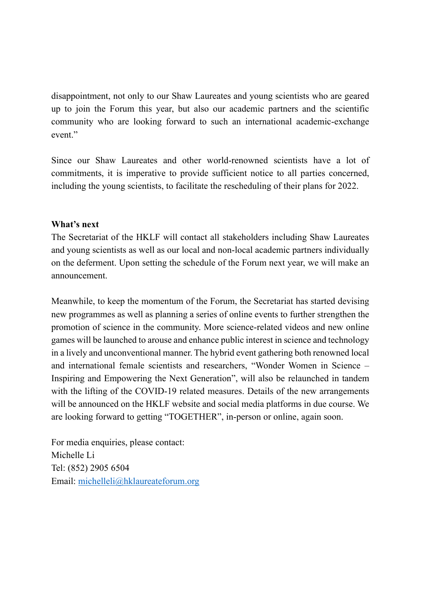disappointment, not only to our Shaw Laureates and young scientists who are geared up to join the Forum this year, but also our academic partners and the scientific community who are looking forward to such an international academic-exchange event."

Since our Shaw Laureates and other world-renowned scientists have a lot of commitments, it is imperative to provide sufficient notice to all parties concerned, including the young scientists, to facilitate the rescheduling of their plans for 2022.

## **What's next**

The Secretariat of the HKLF will contact all stakeholders including Shaw Laureates and young scientists as well as our local and non-local academic partners individually on the deferment. Upon setting the schedule of the Forum next year, we will make an announcement.

Meanwhile, to keep the momentum of the Forum, the Secretariat has started devising new programmes as well as planning a series of online events to further strengthen the promotion of science in the community. More science-related videos and new online games will be launched to arouse and enhance public interest in science and technology in a lively and unconventional manner. The hybrid event gathering both renowned local and international female scientists and researchers, "Wonder Women in Science – Inspiring and Empowering the Next Generation", will also be relaunched in tandem with the lifting of the COVID-19 related measures. Details of the new arrangements will be announced on the HKLF website and social media platforms in due course. We are looking forward to getting "TOGETHER", in-person or online, again soon.

For media enquiries, please contact: Michelle Li Tel: (852) 2905 6504 Email: michelleli@hklaureateforum.org